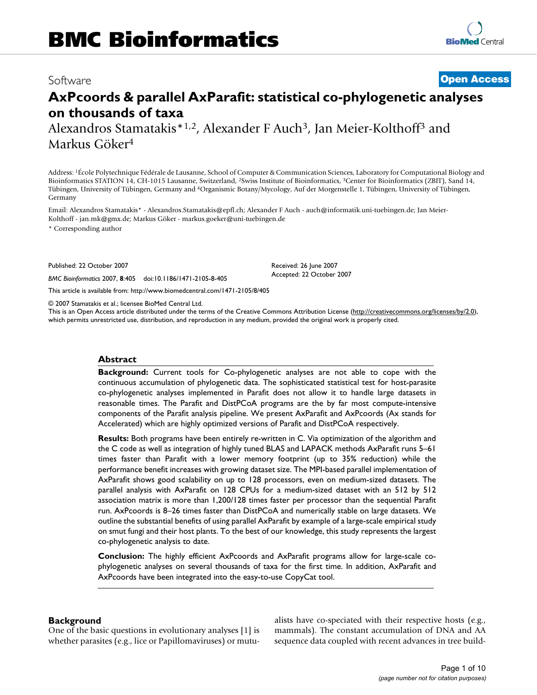# Software **[Open Access](http://www.biomedcentral.com/info/about/charter/)**

# **AxPcoords & parallel AxParafit: statistical co-phylogenetic analyses on thousands of taxa**

Alexandros Stamatakis\*1,2, Alexander F Auch3, Jan Meier-Kolthoff3 and Markus Göker4

Address: 1École Polytechnique Fédérale de Lausanne, School of Computer & Communication Sciences, Laboratory for Computational Biology and Bioinformatics STATION 14, CH-1015 Lausanne, Switzerland, 2Swiss Institute of Bioinformatics, 3Center for Bioinformatics (ZBIT), Sand 14, Tübingen, University of Tübingen, Germany and 4Organismic Botany/Mycology, Auf der Morgenstelle 1, Tübingen, University of Tübingen, Germany

Email: Alexandros Stamatakis\* - Alexandros.Stamatakis@epfl.ch; Alexander F Auch - auch@informatik.uni-tuebingen.de; Jan Meier-Kolthoff - jan.mk@gmx.de; Markus Göker - markus.goeker@uni-tuebingen.de

\* Corresponding author

Published: 22 October 2007

*BMC Bioinformatics* 2007, **8**:405 doi:10.1186/1471-2105-8-405

[This article is available from: http://www.biomedcentral.com/1471-2105/8/405](http://www.biomedcentral.com/1471-2105/8/405)

© 2007 Stamatakis et al.; licensee BioMed Central Ltd.

This is an Open Access article distributed under the terms of the Creative Commons Attribution License [\(http://creativecommons.org/licenses/by/2.0\)](http://creativecommons.org/licenses/by/2.0), which permits unrestricted use, distribution, and reproduction in any medium, provided the original work is properly cited.

Received: 26 June 2007 Accepted: 22 October 2007

## **Abstract**

**Background:** Current tools for Co-phylogenetic analyses are not able to cope with the continuous accumulation of phylogenetic data. The sophisticated statistical test for host-parasite co-phylogenetic analyses implemented in Parafit does not allow it to handle large datasets in reasonable times. The Parafit and DistPCoA programs are the by far most compute-intensive components of the Parafit analysis pipeline. We present AxParafit and AxPcoords (Ax stands for Accelerated) which are highly optimized versions of Parafit and DistPCoA respectively.

**Results:** Both programs have been entirely re-written in C. Via optimization of the algorithm and the C code as well as integration of highly tuned BLAS and LAPACK methods AxParafit runs 5–61 times faster than Parafit with a lower memory footprint (up to 35% reduction) while the performance benefit increases with growing dataset size. The MPI-based parallel implementation of AxParafit shows good scalability on up to 128 processors, even on medium-sized datasets. The parallel analysis with AxParafit on 128 CPUs for a medium-sized dataset with an 512 by 512 association matrix is more than 1,200/128 times faster per processor than the sequential Parafit run. AxPcoords is 8–26 times faster than DistPCoA and numerically stable on large datasets. We outline the substantial benefits of using parallel AxParafit by example of a large-scale empirical study on smut fungi and their host plants. To the best of our knowledge, this study represents the largest co-phylogenetic analysis to date.

**Conclusion:** The highly efficient AxPcoords and AxParafit programs allow for large-scale cophylogenetic analyses on several thousands of taxa for the first time. In addition, AxParafit and AxPcoords have been integrated into the easy-to-use CopyCat tool.

## **Background**

One of the basic questions in evolutionary analyses [1] is whether parasites (e.g., lice or Papillomaviruses) or mutualists have co-speciated with their respective hosts (e.g., mammals). The constant accumulation of DNA and AA sequence data coupled with recent advances in tree build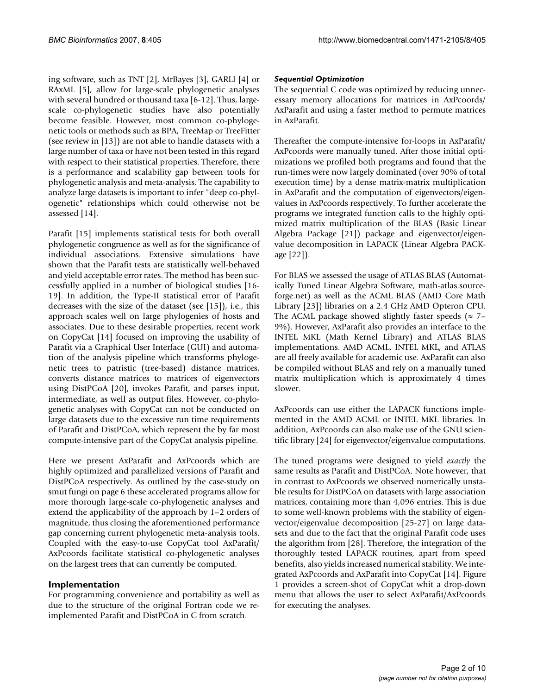ing software, such as TNT [2], MrBayes [3], GARLI [4] or RAxML [5], allow for large-scale phylogenetic analyses with several hundred or thousand taxa [6-12]. Thus, largescale co-phylogenetic studies have also potentially become feasible. However, most common co-phylogenetic tools or methods such as BPA, TreeMap or TreeFitter (see review in [13]) are not able to handle datasets with a large number of taxa or have not been tested in this regard with respect to their statistical properties. Therefore, there is a performance and scalability gap between tools for phylogenetic analysis and meta-analysis. The capability to analyze large datasets is important to infer "deep co-phylogenetic" relationships which could otherwise not be assessed [14].

Parafit [15] implements statistical tests for both overall phylogenetic congruence as well as for the significance of individual associations. Extensive simulations have shown that the Parafit tests are statistically well-behaved and yield acceptable error rates. The method has been successfully applied in a number of biological studies [16- 19]. In addition, the Type-II statistical error of Parafit decreases with the size of the dataset (see [15]), i.e., this approach scales well on large phylogenies of hosts and associates. Due to these desirable properties, recent work on CopyCat [14] focused on improving the usability of Parafit via a Graphical User Interface (GUI) and automation of the analysis pipeline which transforms phylogenetic trees to patristic (tree-based) distance matrices, converts distance matrices to matrices of eigenvectors using DistPCoA [20], invokes Parafit, and parses input, intermediate, as well as output files. However, co-phylogenetic analyses with CopyCat can not be conducted on large datasets due to the excessive run time requirements of Parafit and DistPCoA, which represent the by far most compute-intensive part of the CopyCat analysis pipeline.

Here we present AxParafit and AxPcoords which are highly optimized and parallelized versions of Parafit and DistPCoA respectively. As outlined by the case-study on smut fungi on page 6 these accelerated programs allow for more thorough large-scale co-phylogenetic analyses and extend the applicability of the approach by 1–2 orders of magnitude, thus closing the aforementioned performance gap concerning current phylogenetic meta-analysis tools. Coupled with the easy-to-use CopyCat tool AxParafit/ AxPcoords facilitate statistical co-phylogenetic analyses on the largest trees that can currently be computed.

## **Implementation**

For programming convenience and portability as well as due to the structure of the original Fortran code we reimplemented Parafit and DistPCoA in C from scratch.

## *Sequential Optimization*

The sequential C code was optimized by reducing unnecessary memory allocations for matrices in AxPcoords/ AxParafit and using a faster method to permute matrices in AxParafit.

Thereafter the compute-intensive for-loops in AxParafit/ AxPcoords were manually tuned. After those initial optimizations we profiled both programs and found that the run-times were now largely dominated (over 90% of total execution time) by a dense matrix-matrix multiplication in AxParafit and the computation of eigenvectors/eigenvalues in AxPcoords respectively. To further accelerate the programs we integrated function calls to the highly optimized matrix multiplication of the BLAS (Basic Linear Algebra Package [21]) package and eigenvector/eigenvalue decomposition in LAPACK (Linear Algebra PACKage [22]).

For BLAS we assessed the usage of ATLAS BLAS (Automatically Tuned Linear Algebra Software, math-atlas.sourceforge.net) as well as the ACML BLAS (AMD Core Math Library [23]) libraries on a 2.4 GHz AMD Opteron CPU. The ACML package showed slightly faster speeds ( $\approx$  7– 9%). However, AxParafit also provides an interface to the INTEL MKL (Math Kernel Library) and ATLAS BLAS implementations. AMD ACML, INTEL MKL, and ATLAS are all freely available for academic use. AxParafit can also be compiled without BLAS and rely on a manually tuned matrix multiplication which is approximately 4 times slower.

AxPcoords can use either the LAPACK functions implemented in the AMD ACML or INTEL MKL libraries. In addition, AxPcoords can also make use of the GNU scientific library [24] for eigenvector/eigenvalue computations.

The tuned programs were designed to yield *exactly* the same results as Parafit and DistPCoA. Note however, that in contrast to AxPcoords we observed numerically unstable results for DistPCoA on datasets with large association matrices, containing more than 4,096 entries. This is due to some well-known problems with the stability of eigenvector/eigenvalue decomposition [25-27] on large datasets and due to the fact that the original Parafit code uses the algorithm from [28]. Therefore, the integration of the thoroughly tested LAPACK routines, apart from speed benefits, also yields increased numerical stability. We integrated AxPcoords and AxParafit into CopyCat [14]. Figure 1 provides a screen-shot of CopyCat whit a drop-down menu that allows the user to select AxParafit/AxPcoords for executing the analyses.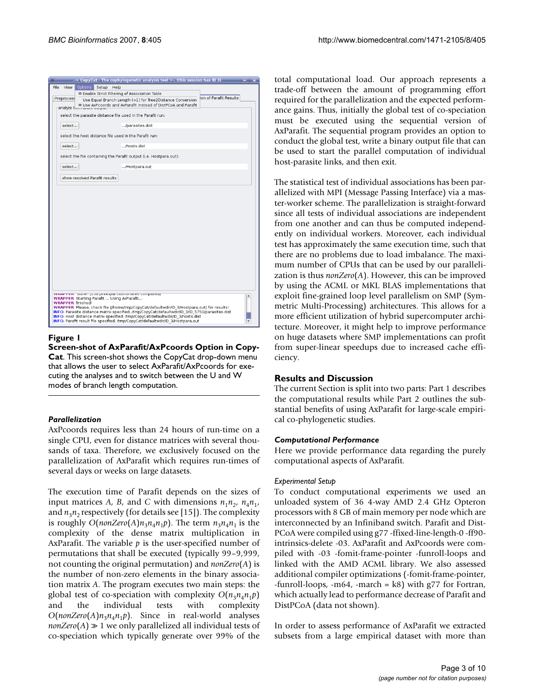

#### **Figure 1**

**Screen-shot of AxParafit/AxPcoords Option in Copy-Cat**. This screen-shot shows the CopyCat drop-down menu that allows the user to select AxParafit/AxPcoords for executing the analyses and to switch between the U and W modes of branch length computation.

## *Parallelization*

AxPcoords requires less than 24 hours of run-time on a single CPU, even for distance matrices with several thousands of taxa. Therefore, we exclusively focused on the parallelization of AxParafit which requires run-times of several days or weeks on large datasets.

The execution time of Parafit depends on the sizes of input matrices *A*, *B*, and *C* with dimensions  $n_1 n_2$ ,  $n_4 n_1$ , and  $n_3n_2$  respectively (for details see [15]). The complexity is roughly  $O(n \cdot n \cdot \text{Zero}(A) n_3 n_4 n_1 p)$ . The term  $n_3 n_4 n_1$  is the complexity of the dense matrix multiplication in AxParafit. The variable *p* is the user-specified number of permutations that shall be executed (typically 99–9,999, not counting the original permutation) and *nonZero*(*A*) is the number of non-zero elements in the binary association matrix *A*. The program executes two main steps: the global test of co-speciation with complexity  $O(n_3n_4n_1p)$ and the individual tests with complexity  $O(n \cdot \text{on} \cdot \text{Zero}(A) n_{3} n_{4} n_{1} p)$ . Since in real-world analyses  $nonZero(A) \gg 1$  we only parallelized all individual tests of co-speciation which typically generate over 99% of the total computational load. Our approach represents a trade-off between the amount of programming effort required for the parallelization and the expected performance gains. Thus, initially the global test of co-speciation must be executed using the sequential version of AxParafit. The sequential program provides an option to conduct the global test, write a binary output file that can be used to start the parallel computation of individual host-parasite links, and then exit.

The statistical test of individual associations has been parallelized with MPI (Message Passing Interface) via a master-worker scheme. The parallelization is straight-forward since all tests of individual associations are independent from one another and can thus be computed independently on individual workers. Moreover, each individual test has approximately the same execution time, such that there are no problems due to load imbalance. The maximum number of CPUs that can be used by our parallelization is thus *nonZero*(*A*). However, this can be improved by using the ACML or MKL BLAS implementations that exploit fine-grained loop level parallelism on SMP (Symmetric Multi-Processing) architectures. This allows for a more efficient utilization of hybrid supercomputer architecture. Moreover, it might help to improve performance on huge datasets where SMP implementations can profit from super-linear speedups due to increased cache efficiency.

## **Results and Discussion**

The current Section is split into two parts: Part 1 describes the computational results while Part 2 outlines the substantial benefits of using AxParafit for large-scale empirical co-phylogenetic studies.

#### *Computational Performance*

Here we provide performance data regarding the purely computational aspects of AxParafit.

#### *Experimental Setup*

To conduct computational experiments we used an unloaded system of 36 4-way AMD 2.4 GHz Opteron processors with 8 GB of main memory per node which are interconnected by an Infiniband switch. Parafit and Dist-PCoA were compiled using g77 -ffixed-line-length-0 -ff90 intrinsics-delete -03. AxParafit and AxPcoords were compiled with -03 -fomit-frame-pointer -funroll-loops and linked with the AMD ACML library. We also assessed additional compiler optimizations (-fomit-frame-pointer, -funroll-loops, -m64, -march = k8) with g77 for Fortran, which actually lead to performance decrease of Parafit and DistPCoA (data not shown).

In order to assess performance of AxParafit we extracted subsets from a large empirical dataset with more than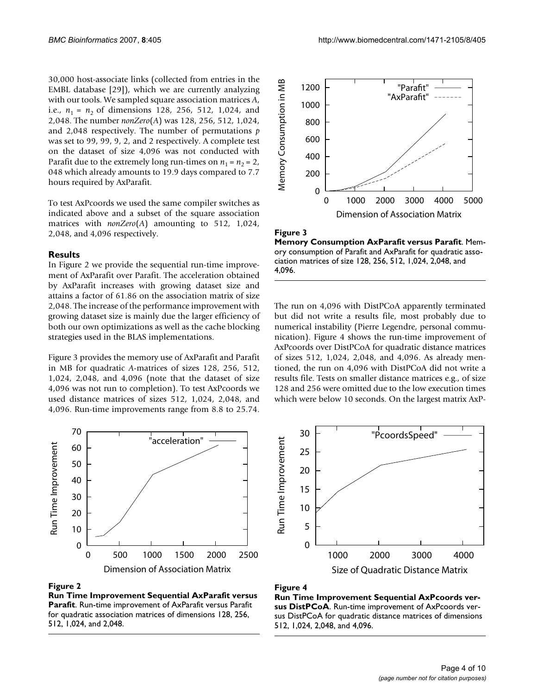30,000 host-associate links (collected from entries in the EMBL database [29]), which we are currently analyzing with our tools. We sampled square association matrices *A*, i.e.,  $n_1 = n_2$  of dimensions 128, 256, 512, 1,024, and 2,048. The number *nonZero*(*A*) was 128, 256, 512, 1,024, and 2,048 respectively. The number of permutations *p* was set to 99, 99, 9, 2, and 2 respectively. A complete test on the dataset of size 4,096 was not conducted with Parafit due to the extremely long run-times on  $n_1 = n_2 = 2$ , 048 which already amounts to 19.9 days compared to 7.7 hours required by AxParafit.

To test AxPcoords we used the same compiler switches as indicated above and a subset of the square association matrices with *nonZero*(*A*) amounting to 512, 1,024, 2,048, and 4,096 respectively.

#### **Results**

In Figure 2 we provide the sequential run-time improvement of AxParafit over Parafit. The acceleration obtained by AxParafit increases with growing dataset size and attains a factor of 61.86 on the association matrix of size 2,048. The increase of the performance improvement with growing dataset size is mainly due the larger efficiency of both our own optimizations as well as the cache blocking strategies used in the BLAS implementations.

Figure 3 provides the memory use of AxParafit and Parafit in MB for quadratic *A*-matrices of sizes 128, 256, 512, 1,024, 2,048, and 4,096 (note that the dataset of size 4,096 was not run to completion). To test AxPcoords we used distance matrices of sizes 512, 1,024, 2,048, and 4,096. Run-time improvements range from 8.8 to 25.74.



#### **Figure 2**

**Run Time Improvement Sequential AxParafit versus Parafit**. Run-time improvement of AxParafit versus Parafit for quadratic association matrices of dimensions 128, 256, 512, 1,024, and 2,048.





The run on 4,096 with DistPCoA apparently terminated but did not write a results file, most probably due to numerical instability (Pierre Legendre, personal communication). Figure 4 shows the run-time improvement of AxPcoords over DistPCoA for quadratic distance matrices of sizes 512, 1,024, 2,048, and 4,096. As already mentioned, the run on 4,096 with DistPCoA did not write a results file. Tests on smaller distance matrices e.g., of size 128 and 256 were omitted due to the low execution times which were below 10 seconds. On the largest matrix AxP-



#### **Figure 4**

**Run Time Improvement Sequential AxPcoords versus DistPCoA**. Run-time improvement of AxPcoords versus DistPCoA for quadratic distance matrices of dimensions 512, 1,024, 2,048, and 4,096.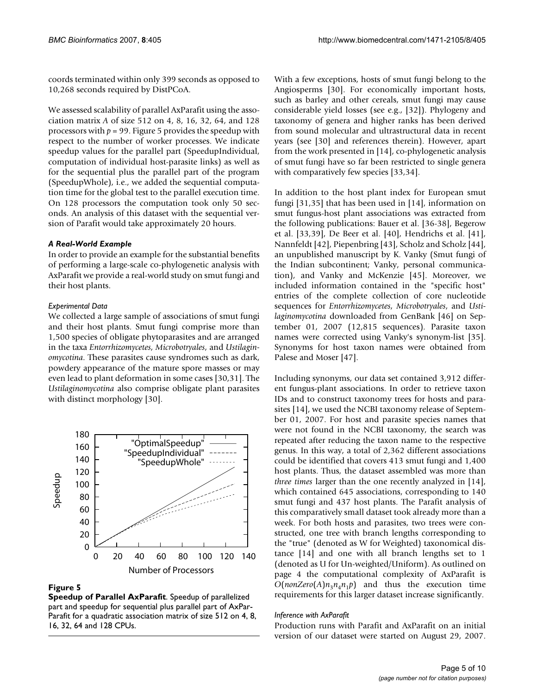coords terminated within only 399 seconds as opposed to 10,268 seconds required by DistPCoA.

We assessed scalability of parallel AxParafit using the association matrix *A* of size 512 on 4, 8, 16, 32, 64, and 128 processors with  $p = 99$ . Figure 5 provides the speedup with respect to the number of worker processes. We indicate speedup values for the parallel part (SpeedupIndividual, computation of individual host-parasite links) as well as for the sequential plus the parallel part of the program (SpeedupWhole), i.e., we added the sequential computation time for the global test to the parallel execution time. On 128 processors the computation took only 50 seconds. An analysis of this dataset with the sequential version of Parafit would take approximately 20 hours.

## *A Real-World Example*

In order to provide an example for the substantial benefits of performing a large-scale co-phylogenetic analysis with AxParafit we provide a real-world study on smut fungi and their host plants.

## *Experimental Data*

We collected a large sample of associations of smut fungi and their host plants. Smut fungi comprise more than 1,500 species of obligate phytoparasites and are arranged in the taxa *Entorrhizomycetes*, *Microbotryales*, and *Ustilaginomycotina*. These parasites cause syndromes such as dark, powdery appearance of the mature spore masses or may even lead to plant deformation in some cases [30,31]. The *Ustilaginomycotina* also comprise obligate plant parasites with distinct morphology [30].



## **Figure 5**

**Speedup of Parallel AxParafit**. Speedup of parallelized part and speedup for sequential plus parallel part of AxPar-Parafit for a quadratic association matrix of size 512 on 4, 8, 16, 32, 64 and 128 CPUs.

With a few exceptions, hosts of smut fungi belong to the Angiosperms [30]. For economically important hosts, such as barley and other cereals, smut fungi may cause considerable yield losses (see e.g., [32]). Phylogeny and taxonomy of genera and higher ranks has been derived from sound molecular and ultrastructural data in recent years (see [30] and references therein). However, apart from the work presented in [14], co-phylogenetic analysis of smut fungi have so far been restricted to single genera with comparatively few species [33,34].

In addition to the host plant index for European smut fungi [31,35] that has been used in [14], information on smut fungus-host plant associations was extracted from the following publications: Bauer et al. [36-38], Begerow et al. [33,39], De Beer et al. [40], Hendrichs et al. [41], Nannfeldt [42], Piepenbring [43], Scholz and Scholz [44], an unpublished manuscript by K. Vanky (Smut fungi of the Indian subcontinent; Vanky, personal communication), and Vanky and McKenzie [45]. Moreover, we included information contained in the "specific host" entries of the complete collection of core nucleotide sequences for *Entorrhizomycetes*, *Microbotryales*, and *Ustilaginomycotina* downloaded from GenBank [46] on September 01, 2007 (12,815 sequences). Parasite taxon names were corrected using Vanky's synonym-list [35]. Synonyms for host taxon names were obtained from Palese and Moser [47].

Including synonyms, our data set contained 3,912 different fungus-plant associations. In order to retrieve taxon IDs and to construct taxonomy trees for hosts and parasites [14], we used the NCBI taxonomy release of September 01, 2007. For host and parasite species names that were not found in the NCBI taxonomy, the search was repeated after reducing the taxon name to the respective genus. In this way, a total of 2,362 different associations could be identified that covers 413 smut fungi and 1,400 host plants. Thus, the dataset assembled was more than *three times larger than the one recently analyzed in [14],* which contained 645 associations, corresponding to 140 smut fungi and 437 host plants. The Parafit analysis of this comparatively small dataset took already more than a week. For both hosts and parasites, two trees were constructed, one tree with branch lengths corresponding to the "true" (denoted as W for Weighted) taxonomical distance [14] and one with all branch lengths set to 1 (denoted as U for Un-weighted/Uniform). As outlined on page 4 the computational complexity of AxParafit is  $O(n \cdot \text{on} \cdot \text{Zero}(A) n_3 n_4 n_1 p)$  and thus the execution time requirements for this larger dataset increase significantly.

## *Inference with AxParafit*

Production runs with Parafit and AxParafit on an initial version of our dataset were started on August 29, 2007.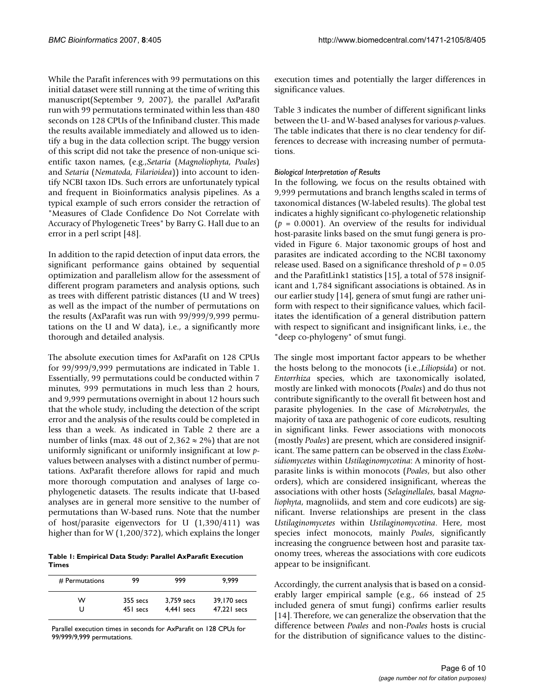While the Parafit inferences with 99 permutations on this initial dataset were still running at the time of writing this manuscript(September 9, 2007), the parallel AxParafit run with 99 permutations terminated within less than 480 seconds on 128 CPUs of the Infiniband cluster. This made the results available immediately and allowed us to identify a bug in the data collection script. The buggy version of this script did not take the presence of non-unique scientific taxon names, (e.g.,*Setaria* (*Magnoliophyta, Poales*) and *Setaria* (*Nematoda, Filarioidea*)) into account to identify NCBI taxon IDs. Such errors are unfortunately typical and frequent in Bioinformatics analysis pipelines. As a typical example of such errors consider the retraction of "Measures of Clade Confidence Do Not Correlate with Accuracy of Phylogenetic Trees" by Barry G. Hall due to an error in a perl script [48].

In addition to the rapid detection of input data errors, the significant performance gains obtained by sequential optimization and parallelism allow for the assessment of different program parameters and analysis options, such as trees with different patristic distances (U and W trees) as well as the impact of the number of permutations on the results (AxParafit was run with 99/999/9,999 permutations on the U and W data), i.e., a significantly more thorough and detailed analysis.

The absolute execution times for AxParafit on 128 CPUs for 99/999/9,999 permutations are indicated in Table 1. Essentially, 99 permutations could be conducted within 7 minutes, 999 permutations in much less than 2 hours, and 9,999 permutations overnight in about 12 hours such that the whole study, including the detection of the script error and the analysis of the results could be completed in less than a week. As indicated in Table 2 there are a number of links (max. 48 out of  $2,362 \approx 2\%$ ) that are not uniformly significant or uniformly insignificant at low *p*values between analyses with a distinct number of permutations. AxParafit therefore allows for rapid and much more thorough computation and analyses of large cophylogenetic datasets. The results indicate that U-based analyses are in general more sensitive to the number of permutations than W-based runs. Note that the number of host/parasite eigenvectors for U (1,390/411) was higher than for W (1,200/372), which explains the longer

**Table 1: Empirical Data Study: Parallel AxParafit Execution Times**

| $#$ Permutations | 99       | 999        | 9.999       |  |
|------------------|----------|------------|-------------|--|
| w                | 355 secs | 3,759 secs | 39,170 secs |  |
| U                | 451 secs | 4.441 secs | 47.221 secs |  |

Parallel execution times in seconds for AxParafit on 128 CPUs for 99/999/9,999 permutations.

execution times and potentially the larger differences in significance values.

Table 3 indicates the number of different significant links between the U- and W-based analyses for various *p*-values. The table indicates that there is no clear tendency for differences to decrease with increasing number of permutations.

## *Biological Interpretation of Results*

In the following, we focus on the results obtained with 9,999 permutations and branch lengths scaled in terms of taxonomical distances (W-labeled results). The global test indicates a highly significant co-phylogenetic relationship  $(p = 0.0001)$ . An overview of the results for individual host-parasite links based on the smut fungi genera is provided in Figure 6. Major taxonomic groups of host and parasites are indicated according to the NCBI taxonomy release used. Based on a significance threshold of  $p = 0.05$ and the ParafitLink1 statistics [15], a total of 578 insignificant and 1,784 significant associations is obtained. As in our earlier study [14], genera of smut fungi are rather uniform with respect to their significance values, which facilitates the identification of a general distribution pattern with respect to significant and insignificant links, i.e., the "deep co-phylogeny" of smut fungi.

The single most important factor appears to be whether the hosts belong to the monocots (i.e.,*Liliopsida*) or not. *Entorrhiza* species, which are taxonomically isolated, mostly are linked with monocots (*Poales*) and do thus not contribute significantly to the overall fit between host and parasite phylogenies. In the case of *Microbotryales*, the majority of taxa are pathogenic of core eudicots, resulting in significant links. Fewer associations with monocots (mostly *Poales*) are present, which are considered insignificant. The same pattern can be observed in the class *Exobasidiomycetes* within *Ustilaginomycotina*: A minority of hostparasite links is within monocots (*Poales*, but also other orders), which are considered insignificant, whereas the associations with other hosts (*Selaginellales*, basal *Magnoliophyta*, magnoliids, and stem and core eudicots) are significant. Inverse relationships are present in the class *Ustilaginomycetes* within *Ustilaginomycotina*. Here, most species infect monocots, mainly *Poales*, significantly increasing the congruence between host and parasite taxonomy trees, whereas the associations with core eudicots appear to be insignificant.

Accordingly, the current analysis that is based on a considerably larger empirical sample (e.g., 66 instead of 25 included genera of smut fungi) confirms earlier results [14]. Therefore, we can generalize the observation that the difference between *Poales* and non-*Poales* hosts is crucial for the distribution of significance values to the distinc-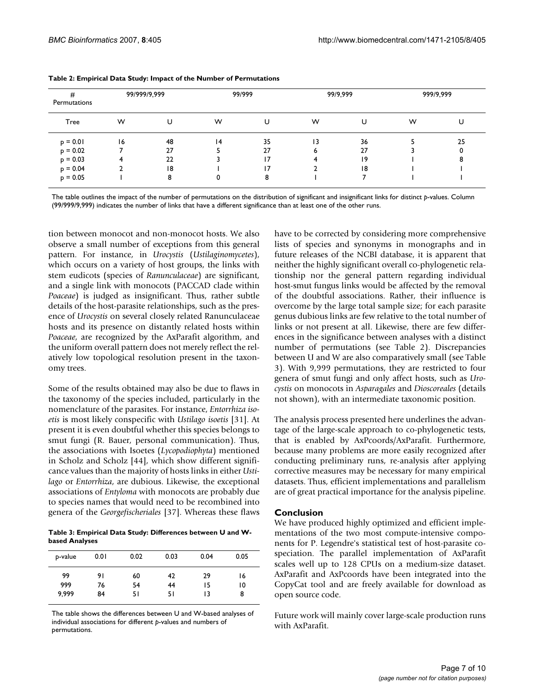| #<br>Permutations<br>Tree | 99/999/9,999 |    | 99/999 |              | 99/9,999 |    | 999/9,999 |        |
|---------------------------|--------------|----|--------|--------------|----------|----|-----------|--------|
|                           | W            | U  | W      | U            | W        | U  | w         |        |
| $p = 0.01$                | 16           | 48 | 4      | 35           | 13       | 36 |           | 25     |
| $p = 0.02$                |              | 27 |        | 27           | ь        | 27 |           | 0      |
| $p = 0.03$                |              | 22 |        | 17           |          | 19 |           | 0<br>Ω |
| $p = 0.04$                |              | 18 |        | 17           |          | 18 |           |        |
| $p = 0.05$                |              | 8  |        | $\circ$<br>ō |          |    |           |        |

|  | Table 2: Empirical Data Study: Impact of the Number of Permutations |  |
|--|---------------------------------------------------------------------|--|
|  |                                                                     |  |

The table outlines the impact of the number of permutations on the distribution of significant and insignificant links for distinct *p*-values. Column (99/999/9,999) indicates the number of links that have a different significance than at least one of the other runs.

tion between monocot and non-monocot hosts. We also observe a small number of exceptions from this general pattern. For instance, in *Urocystis* (*Ustilaginomycetes*), which occurs on a variety of host groups, the links with stem eudicots (species of *Ranunculaceae*) are significant, and a single link with monocots (PACCAD clade within *Poaceae*) is judged as insignificant. Thus, rather subtle details of the host-parasite relationships, such as the presence of *Urocystis* on several closely related Ranunculaceae hosts and its presence on distantly related hosts within *Poaceae*, are recognized by the AxParafit algorithm, and the uniform overall pattern does not merely reflect the relatively low topological resolution present in the taxonomy trees.

Some of the results obtained may also be due to flaws in the taxonomy of the species included, particularly in the nomenclature of the parasites. For instance, *Entorrhiza isoetis* is most likely conspecific with *Ustilago isoetis* [31]. At present it is even doubtful whether this species belongs to smut fungi (R. Bauer, personal communication). Thus, the associations with Isoetes (*Lycopodiophyta*) mentioned in Scholz and Scholz [44], which show different significance values than the majority of hosts links in either *Ustilago* or *Entorrhiza*, are dubious. Likewise, the exceptional associations of *Entyloma* with monocots are probably due to species names that would need to be recombined into genera of the *Georgefischeriales* [37]. Whereas these flaws

**Table 3: Empirical Data Study: Differences between U and Wbased Analyses**

| p-value | 0.01 | 0.02 | 0.03 | 0.04 | 0.05 |
|---------|------|------|------|------|------|
| 99      | 91   | 60   | 42   | 29   | 16   |
| 999     | 76   | 54   | 44   | 15   | 10   |
| 9.999   | 84   | 51   | 51   | 13   | 8    |

The table shows the differences between U and W-based analyses of individual associations for different *p*-values and numbers of permutations.

have to be corrected by considering more comprehensive lists of species and synonyms in monographs and in future releases of the NCBI database, it is apparent that neither the highly significant overall co-phylogenetic relationship nor the general pattern regarding individual host-smut fungus links would be affected by the removal of the doubtful associations. Rather, their influence is overcome by the large total sample size; for each parasite genus dubious links are few relative to the total number of links or not present at all. Likewise, there are few differences in the significance between analyses with a distinct number of permutations (see Table 2). Discrepancies between U and W are also comparatively small (see Table 3). With 9,999 permutations, they are restricted to four genera of smut fungi and only affect hosts, such as *Urocystis* on monocots in *Asparagales* and *Dioscoreales* (details not shown), with an intermediate taxonomic position.

The analysis process presented here underlines the advantage of the large-scale approach to co-phylogenetic tests, that is enabled by AxPcoords/AxParafit. Furthermore, because many problems are more easily recognized after conducting preliminary runs, re-analysis after applying corrective measures may be necessary for many empirical datasets. Thus, efficient implementations and parallelism are of great practical importance for the analysis pipeline.

## **Conclusion**

We have produced highly optimized and efficient implementations of the two most compute-intensive components for P. Legendre's statistical test of host-parasite cospeciation. The parallel implementation of AxParafit scales well up to 128 CPUs on a medium-size dataset. AxParafit and AxPcoords have been integrated into the CopyCat tool and are freely available for download as open source code.

Future work will mainly cover large-scale production runs with AxParafit.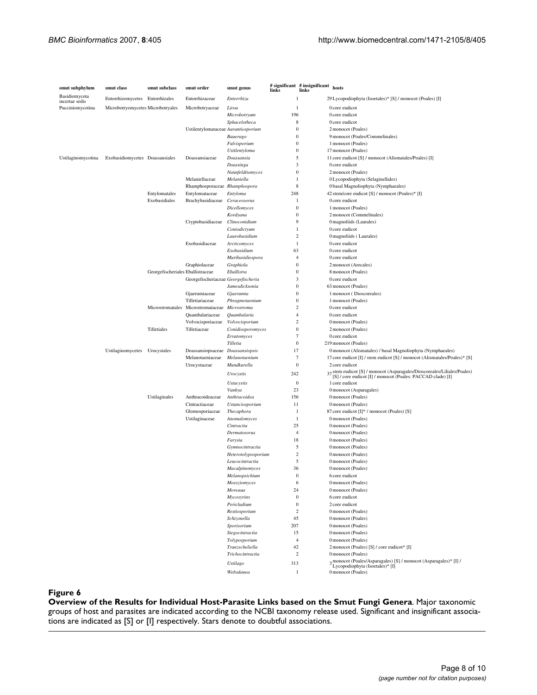| smut subphylum                  | smut class                        | smut subclass                     | smut order                          | smut genus                          | # significant # insignificant hosts<br>links | links |                                                                               |
|---------------------------------|-----------------------------------|-----------------------------------|-------------------------------------|-------------------------------------|----------------------------------------------|-------|-------------------------------------------------------------------------------|
| Basidiomycota<br>incertae sedis | Entorrhizomycetes Entorrhizales   |                                   | Entorrhizaceae                      | Entorrhiza                          | $\mathbf{1}$                                 |       | 29 Lycopodiophyta (Isoetales)* [S] / monocot (Poales) [I]                     |
| Pucciniomycotina                | Microbotryomycetes Microbotryales |                                   | Microbotryaceae                     | Liroa                               | 1                                            |       | 0 core eudicot                                                                |
|                                 |                                   |                                   |                                     | Microbotryum                        | 196                                          |       | 0 core eudicot                                                                |
|                                 |                                   |                                   |                                     | Sphacelotheca                       | 8                                            |       | 0 core eudicot                                                                |
|                                 |                                   |                                   | Ustilentylomataceae Aurantiosporium |                                     | $\boldsymbol{0}$                             |       | 2 monocot (Poales)                                                            |
|                                 |                                   |                                   |                                     | Bauerago                            | $\mathbf{0}$                                 |       | 9 monocot (Poales/Commelinales)                                               |
|                                 |                                   |                                   |                                     | Fulvisporium                        | $\boldsymbol{0}$                             |       | 1 monocot (Poales)                                                            |
|                                 |                                   |                                   |                                     | Ustilentyloma                       | $\mathbf{0}$                                 |       | 17 monocot (Poales)                                                           |
| Ustilaginomycotina              | Exobasidiomycetes Doassansiales   |                                   | Doassansiaceae                      | Doassansia                          | 5                                            |       | 11 core eudicot [S] / monocot (Alismatales/Poales) [I]                        |
|                                 |                                   |                                   |                                     | Doassinga                           | 3                                            |       | 0 core eudicot                                                                |
|                                 |                                   |                                   |                                     | Nannfeldtiomyces                    | $\boldsymbol{0}$                             |       | 2 monocot (Poales)                                                            |
|                                 |                                   |                                   | Melaniellaceae                      | Melaniella                          | 1                                            |       | 0 Lycopodiophyta (Selaginellales)                                             |
|                                 |                                   |                                   | Rhamphosporaceae Rhamphospora       |                                     | 8                                            |       | 0 basal Magnoliophyta (Nymphaeales)                                           |
|                                 |                                   | Entylomatales                     | Entylomataceae                      | Entyloma                            | 248                                          |       | 42 stem/core eudicot [S] / monocot (Poales)* [I]                              |
|                                 |                                   | Exobasidiales                     | Brachybasidiaceae Ceraceosorus      |                                     | $\mathbf{1}$                                 |       | 0 core eudicot                                                                |
|                                 |                                   |                                   |                                     | Dicellomyces                        | $\mathbf{0}$                                 |       | 1 monocot (Poales)                                                            |
|                                 |                                   |                                   |                                     | Kordyana                            | $\mathbf{0}$                                 |       | 2 monocot (Commelinales)                                                      |
|                                 |                                   |                                   | Cryptobasidiaceae                   | Clinoconidium                       | 9                                            |       | 0 magnoliids (Laurales)                                                       |
|                                 |                                   |                                   |                                     | Coniodictyum                        | 1                                            |       | 0 core eudicot                                                                |
|                                 |                                   |                                   |                                     | Laurobasidium                       | 2                                            |       | 0 magnoliids (Laurales)                                                       |
|                                 |                                   |                                   | Exobasidiaceae                      | Arcticomyces                        | $\mathbf{1}$                                 |       | 0 core eudicot                                                                |
|                                 |                                   |                                   |                                     | Exobasidium                         | 63                                           |       | 0 core eudicot                                                                |
|                                 |                                   |                                   |                                     | Muribasidiospora                    | $\overline{4}$                               |       | 0 core eudicot                                                                |
|                                 |                                   |                                   | Graphiolaceae                       | Graphiola                           | $\mathbf{0}$                                 |       | 2 monocot (Arecales)                                                          |
|                                 |                                   | Georgefischeriales Eballistraceae |                                     | Eballistra                          | $\mathbf{0}$                                 |       | 8 monocot (Poales)                                                            |
|                                 |                                   |                                   | Georgefischeriaceae Georgefischeria |                                     | 3                                            |       | 0 core eudicot                                                                |
|                                 |                                   |                                   |                                     | Jamesdicksonia                      | $\bf{0}$                                     |       | 63 monocot (Poales)                                                           |
|                                 |                                   |                                   | Gjaerumiaceae                       | Gjaerumia                           | $\boldsymbol{0}$                             |       | 1 monocot (Dioscoreales)                                                      |
|                                 |                                   |                                   | Tilletiariaceae                     | Phragmotaenium                      | $\mathbf{0}$                                 |       | 1 monocot (Poales)                                                            |
|                                 |                                   | Microstromatales                  | Microstromataceae                   | Microstroma                         | $\overline{c}$                               |       | 0 core eudicot                                                                |
|                                 |                                   |                                   | Quambalariaceae                     | Quambalaria                         | 4                                            |       | 0 core eudicot                                                                |
|                                 |                                   | Tilletiales                       | Volvocisporiaceae<br>Tilletiaceae   | Volvocisporium<br>Conidiosporomyces | 2<br>$\boldsymbol{0}$                        |       | 0 monocot (Poales)<br>2 monocot (Poales)                                      |
|                                 |                                   |                                   |                                     | Erratomyces                         | 7                                            |       | 0 core eudicot                                                                |
|                                 |                                   |                                   |                                     | Tilletia                            | $\mathbf{0}$                                 |       | 219 monocot (Poales)                                                          |
|                                 | Ustilaginomycetes Urocystales     |                                   | Doassansiopsaceae                   | Doassansiopsis                      | 17                                           |       | 0 monocot (Alismatales) / basal Magnoliophyta (Nymphaeales)                   |
|                                 |                                   |                                   | Melanotaeniaceae                    | Melanotaenium                       | $\tau$                                       |       | 17 core eudicot [I] / stem eudicot [S] / monocot (Alismatales/Poales)* [S]    |
|                                 |                                   |                                   | Urocystaceae                        | Mundkurella                         | $\bf{0}$                                     |       | 2 core eudicot                                                                |
|                                 |                                   |                                   |                                     | Urocystis                           | 242                                          |       | 37 stem eudicot [S] / monocot (Asparagales/Dioscoreales/Liliales/Poales)      |
|                                 |                                   |                                   |                                     | <b>Ustacystis</b>                   | $\bf{0}$                                     |       | [S] / core eudicot [I] / monocot (Poales: PACCAD clade) [I]<br>1 core eudicot |
|                                 |                                   |                                   |                                     | Vankya                              | 23                                           |       | 0 monocot (Asparagales)                                                       |
|                                 |                                   | Ustilaginales                     | Anthracoideaceae                    | Anthracoidea                        | 156                                          |       | 0 monocot (Poales)                                                            |
|                                 |                                   |                                   | Cintractiaceae                      | <b>Ustanciosporium</b>              | 11                                           |       | 0 monocot (Poales)                                                            |
|                                 |                                   |                                   | Glomosporiaceae                     | Thecaphora                          | 1                                            |       | 87 core eudicot [I]* / monocot (Poales) [S]                                   |
|                                 |                                   |                                   | Ustilaginaceae                      | Anomalomyces                        | $\mathbf{1}$                                 |       | 0 monocot (Poales)                                                            |
|                                 |                                   |                                   |                                     | Cintractia                          | 25                                           |       | 0 monocot (Poales)                                                            |
|                                 |                                   |                                   |                                     | Dermatosorus                        | $\overline{4}$                               |       | 0 monocot (Poales)                                                            |
|                                 |                                   |                                   |                                     | Farysia                             | 18                                           |       | 0 monocot (Poales)                                                            |
|                                 |                                   |                                   |                                     | Gymnocintractia                     | 5                                            |       | 0 monocot (Poales)                                                            |
|                                 |                                   |                                   |                                     | Heterotolyposporium                 | 2                                            |       | 0 monocot (Poales)                                                            |
|                                 |                                   |                                   |                                     | Leucocintractia                     | 5                                            |       | 0 monocot (Poales)                                                            |
|                                 |                                   |                                   |                                     | Macalpinomyces                      | 36                                           |       | 0 monocot (Poales)                                                            |
|                                 |                                   |                                   |                                     | Melanopsichium                      | $\Omega$                                     |       | 6 core eudicot                                                                |
|                                 |                                   |                                   |                                     | Moesziomyces                        | 6                                            |       | 0 monocot (Poales)                                                            |
|                                 |                                   |                                   |                                     | Moreaua<br>Mycosyrinx               | 24<br>$\mathbf{0}$                           |       | 0 monocot (Poales)                                                            |
|                                 |                                   |                                   |                                     | Pericladium                         | $\bf{0}$                                     |       | 6 core eudicot<br>2 core eudicot                                              |
|                                 |                                   |                                   |                                     | Restiosporium                       | 2                                            |       | 0 monocot (Poales)                                                            |
|                                 |                                   |                                   |                                     | Schizonella                         | 45                                           |       | 0 monocot (Poales)                                                            |
|                                 |                                   |                                   |                                     | Sporisorium                         | 207                                          |       | 0 monocot (Poales)                                                            |
|                                 |                                   |                                   |                                     | Stegocintractia                     | 15                                           |       | 0 monocot (Poales)                                                            |
|                                 |                                   |                                   |                                     | Tolyposporium                       | $\overline{4}$                               |       | 0 monocot (Poales)                                                            |
|                                 |                                   |                                   |                                     | Tranzscheliella                     | 42                                           |       | 2 monocot (Poales) [S] / core eudicot* [I]                                    |
|                                 |                                   |                                   |                                     | Trichocintractia                    | $\overline{c}$                               |       | 0 monocot (Poales)                                                            |
|                                 |                                   |                                   |                                     | Ustilago                            | 313                                          |       | 3 monocot (Poales/Asparagales) [S] / monocot (Asparagales)* [I] /             |
|                                 |                                   |                                   |                                     | Websdanea                           | $\mathbf{1}$                                 |       | Lycopodiophyta (Isoetales)* [I]<br>0 monocot (Poales)                         |
|                                 |                                   |                                   |                                     |                                     |                                              |       |                                                                               |

#### Overview of the Results for Individual Host-Parasite Links based on the Smut Fungi Genera **Figure 6**

**Overview of the Results for Individual Host-Parasite Links based on the Smut Fungi Genera**. Major taxonomic groups of host and parasites are indicated according to the NCBI taxonomy release used. Significant and insignificant associations are indicated as [S] or [I] respectively. Stars denote to doubtful associations.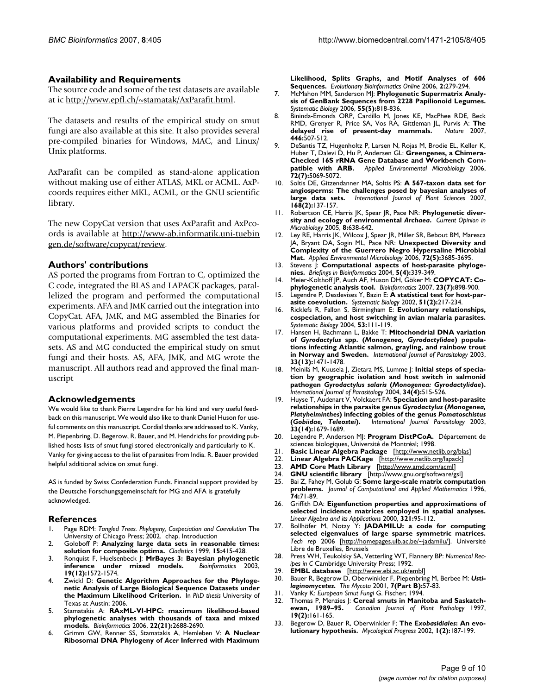## **Availability and Requirements**

The source code and some of the test datasets are available at ic <http://www.epfl.ch/~stamatak/AxParafit.html>.

The datasets and results of the empirical study on smut fungi are also available at this site. It also provides several pre-compiled binaries for Windows, MAC, and Linux/ Unix platforms.

AxParafit can be compiled as stand-alone application without making use of either ATLAS, MKL or ACML. AxPcoords requires either MKL, ACML, or the GNU scientific library.

The new CopyCat version that uses AxParafit and AxPcoords is available at [http://www-ab.informatik.uni-tuebin](http://www-ab.informatik.uni-tuebingen.de/software/copycat/review) [gen.de/software/copycat/review.](http://www-ab.informatik.uni-tuebingen.de/software/copycat/review)

## **Authors' contributions**

AS ported the programs from Fortran to C, optimized the C code, integrated the BLAS and LAPACK packages, parallelized the program and performed the computational experiments. AFA and JMK carried out the integration into CopyCat. AFA, JMK, and MG assembled the Binaries for various platforms and provided scripts to conduct the computational experiments. MG assembled the test datasets. AS and MG conducted the empirical study on smut fungi and their hosts. AS, AFA, JMK, and MG wrote the manuscript. All authors read and approved the final manuscript

## **Acknowledgements**

We would like to thank Pierre Legendre for his kind and very useful feedback on this manuscript. We would also like to thank Daniel Huson for useful comments on this manuscript. Cordial thanks are addressed to K. Vanky, M. Piepenbring, D. Begerow, R. Bauer, and M. Hendrichs for providing published hosts lists of smut fungi stored electronically and particularly to K. Vanky for giving access to the list of parasites from India. R. Bauer provided helpful additional advice on smut fungi.

AS is funded by Swiss Confederation Funds. Financial support provided by the Deutsche Forschungsgemeinschaft for MG and AFA is gratefully acknowledged.

#### **References**

- 1. Page RDM: *Tangled Trees. Phylogeny, Cospeciation and Coevolution* The University of Chicago Press; 2002. chap. Introduction
- 2. Goloboff P: **Analyzing large data sets in reasonable times: solution for composite optima.** *Cladistics* 1999, **15:**415-428.
- 3. Ronquist F, Huelsenbeck J: **[MrBayes 3: Bayesian phylogenetic](http://www.ncbi.nlm.nih.gov/entrez/query.fcgi?cmd=Retrieve&db=PubMed&dopt=Abstract&list_uids=12912839) [inference under mixed models.](http://www.ncbi.nlm.nih.gov/entrez/query.fcgi?cmd=Retrieve&db=PubMed&dopt=Abstract&list_uids=12912839)** *Bioinformatics* 2003, **19(12):**1572-1574.
- Zwickl D: Genetic Algorithm Approaches for the Phyloge**netic Analysis of Large Biological Sequence Datasets under the Maximum Likelihood Criterion.** In *PhD thesis* University of Texas at Austin; 2006.
- 5. Stamatakis A: **[RAxML-VI-HPC: maximum likelihood-based](http://www.ncbi.nlm.nih.gov/entrez/query.fcgi?cmd=Retrieve&db=PubMed&dopt=Abstract&list_uids=16928733) [phylogenetic analyses with thousands of taxa and mixed](http://www.ncbi.nlm.nih.gov/entrez/query.fcgi?cmd=Retrieve&db=PubMed&dopt=Abstract&list_uids=16928733) [models.](http://www.ncbi.nlm.nih.gov/entrez/query.fcgi?cmd=Retrieve&db=PubMed&dopt=Abstract&list_uids=16928733)** *Bioinformatics* 2006, **22(21):**2688-2690.
- 6. Grimm GW, Renner SS, Stamatakis A, Hemleben V: **A Nuclear Ribosomal DNA Phylogeny of** *Acer* **Inferred with Maximum**

**Likelihood, Splits Graphs, and Motif Analyses of 606 Sequences.** *Evolutionary Bioinformatics Online* 2006, **2:**279-294.

- 7. McMahon MM, Sanderson MJ: **[Phylogenetic Supermatrix Analy](http://www.ncbi.nlm.nih.gov/entrez/query.fcgi?cmd=Retrieve&db=PubMed&dopt=Abstract&list_uids=17060202)[sis of GenBank Sequences from 2228 Papilionoid Legumes.](http://www.ncbi.nlm.nih.gov/entrez/query.fcgi?cmd=Retrieve&db=PubMed&dopt=Abstract&list_uids=17060202)** *Systematic Biology* 2006, **55(5):**818-836.
- 8. Bininda-Emonds ORP, Cardillo M, Jones KE, MacPhee RDE, Beck RMD, Grenyer R, Price SA, Vos RA, Gittleman JL, Purvis A: **[The](http://www.ncbi.nlm.nih.gov/entrez/query.fcgi?cmd=Retrieve&db=PubMed&dopt=Abstract&list_uids=17392779) [delayed rise of present-day mammals.](http://www.ncbi.nlm.nih.gov/entrez/query.fcgi?cmd=Retrieve&db=PubMed&dopt=Abstract&list_uids=17392779)** *Nature* 2007, **446:**507-512.
- 9. DeSantis TZ, Hugenholtz P, Larsen N, Rojas M, Brodie EL, Keller K, Huber T, Dalevi D, Hu P, Andersen GL: **Greengenes, a Chimera-Checked 16S rRNA Gene Database and Workbench Compatible with ARB.** *Applied Environmental Microbiology* 2006, **72(7):**5069-5072.
- 10. Soltis DE, Gitzendanner MA, Soltis PS: **A 567-taxon data set for angiosperms: The challenges posed by bayesian analyses of large data sets.** *International Journal of Plant Sciences* 2007, **168(2):**137-157.
- 11. Robertson CE, Harris JK, Spear JR, Pace NR: **Phylogenetic diversity and ecology of environmental** *Archaea***[.](http://www.ncbi.nlm.nih.gov/entrez/query.fcgi?cmd=Retrieve&db=PubMed&dopt=Abstract&list_uids=16236543)** *Current Opinion in Microbiology* 2005, **8:**638-642.
- 12. Ley RE, Harris JK, Wilcox J, Spear JR, Miller SR, Bebout BM, Maresca JA, Bryant DA, Sogin ML, Pace NR: **Unexpected Diversity and Complexity of the Guerrero Negro Hypersaline Microbial Mat.** *Applied Environmental Microbiology* 2006, **72(5):**3685-3695.
- 13. Stevens J: **[Computational aspects of host-parasite phyloge](http://www.ncbi.nlm.nih.gov/entrez/query.fcgi?cmd=Retrieve&db=PubMed&dopt=Abstract&list_uids=15606970)[nies.](http://www.ncbi.nlm.nih.gov/entrez/query.fcgi?cmd=Retrieve&db=PubMed&dopt=Abstract&list_uids=15606970)** *Briefings in Bioinformatics* 2004, **5(4):**339-349.
- 14. Meier-Kolthoff JP, Auch AF, Huson DH, Göker M: **[COPYCAT: Co](http://www.ncbi.nlm.nih.gov/entrez/query.fcgi?cmd=Retrieve&db=PubMed&dopt=Abstract&list_uids=17267434)[phylogenetic analysis tool.](http://www.ncbi.nlm.nih.gov/entrez/query.fcgi?cmd=Retrieve&db=PubMed&dopt=Abstract&list_uids=17267434)** *Bioinformatics* 2007, **23(7):**898-900.
- 15. Legendre P, Desdevises Y, Bazin E: **[A statistical test for host-par](http://www.ncbi.nlm.nih.gov/entrez/query.fcgi?cmd=Retrieve&db=PubMed&dopt=Abstract&list_uids=12028729)[asite coevolution.](http://www.ncbi.nlm.nih.gov/entrez/query.fcgi?cmd=Retrieve&db=PubMed&dopt=Abstract&list_uids=12028729)** *Systematic Biology* 2002, **51(2):**217-234.
- 16. Ricklefs R, Fallon S, Birmingham E: **[Evolutionary relationships,](http://www.ncbi.nlm.nih.gov/entrez/query.fcgi?cmd=Retrieve&db=PubMed&dopt=Abstract&list_uids=14965906) [cospeciation, and host switching in avian malaria parasites.](http://www.ncbi.nlm.nih.gov/entrez/query.fcgi?cmd=Retrieve&db=PubMed&dopt=Abstract&list_uids=14965906)** *Systematic Biology* 2004, **53:**111-119.
- 17. Hansen H, Bachmann L, Bakke T: **Mitochondrial DNA variation of** *Gyrodactylus* **spp. (***Monogenea, Gyrodactylidae***[\) popula](http://www.ncbi.nlm.nih.gov/entrez/query.fcgi?cmd=Retrieve&db=PubMed&dopt=Abstract&list_uids=14572510)[tions infecting Atlantic salmon, grayling, and rainbow trout](http://www.ncbi.nlm.nih.gov/entrez/query.fcgi?cmd=Retrieve&db=PubMed&dopt=Abstract&list_uids=14572510) [in Norway and Sweden.](http://www.ncbi.nlm.nih.gov/entrez/query.fcgi?cmd=Retrieve&db=PubMed&dopt=Abstract&list_uids=14572510)** *International Journal of Parasitology* 2003, **33(13):**1471-1478.
- 18. Meinilä M, Kuusela J, Zietara MS, Lumme J: **Initial steps of speciation by geographic isolation and host switch in salmonid pathogen** *Gyrodactylus salaris* **(***Monogenea: Gyrodactylidae***[\).](http://www.ncbi.nlm.nih.gov/entrez/query.fcgi?cmd=Retrieve&db=PubMed&dopt=Abstract&list_uids=15013741)** *International Journal of Parasitology* 2004, **34(4):**515-526.
- 19. Huyse T, Audenart V, Volckaert FA: **Speciation and host-parasite relationships in the parasite genus** *Gyrodactylus* **(***Monogenea, Platyhelminthes***) infecting gobies of the genus** *Pomatoschistus* **(***Gobiidae, Teleostei***).** *International Journal Parasitology* 2003, **33(14):**1679-1689.
- 20. Legendre P, Anderson MJ: **Program DistPCoA.** Département de sciences biologiques, Université de Montréal; 1998.
- 21. **Basic Linear Algebra Package** [\[http://www.netlib.org/blas\]](http://www.netlib.org/blas)
- 22. **Linear Algebra PACKage** [<http://www.netlib.org/lapack>]
- 23. **AMD Core Math Library** [\[http://www.amd.com/acml](http://www.amd.com/acml)]
- 24. **GNU scientific library** [[http://www.gnu.org/software/gsl\]](http://www.gnu.org/software/gsl)
- 25. Bai Z, Fahey M, Golub G: **Some large-scale matrix computation problems.** *Journal of Computational and Applied Mathematics* 1996, **74:**71-89.
- 26. Griffith DA: **Eigenfunction properties and approximations of selected incidence matrices employed in spatial analyses.** *Linear Algebra and its Applications* 2000, **321:**95-112.
- 27. Bollhöfer M, Notay Y: **JADAMILU: a code for computing selected eigenvalues of large sparse symmetric matrices.** *Tech rep* 2006 [\[http://homepages.ulb.ac.be/~jadamilu/](http://homepages.ulb.ac.be/~jadamilu/)]. Université Libre de Bruxelles, Brussels
- 28. Press WH, Teukolsky SA, Vetterling WT, Flannery BP: *Numerical Recipes in C* Cambridge University Press; 1992.
- 29. **EMBL database** [\[http://www.ebi.ac.uk/embl\]](http://www.ebi.ac.uk/embl)<br>30. Bauer R, Begerow D, Oberwinkler F, Piepenbrir
- Bauer R, Begerow D, Oberwinkler F, Piepenbring M, Berbee M: Usti*laginomycetes***.** *The Mycota* 2001, **7(Part B):**57-83.
- 31. Vanky K: *European Smut Fungi* G. Fischer; 1994.
- 32. Thomas P, Menzies J: **Cereal smuts in Manitoba and Saskatchewan, 1989–95.** *Canadian Journal of Plant Pathology* 1997, **19(2):**161-165.
- 33. Begerow D, Bauer R, Oberwinkler F: **The** *Exobasidiales***: An evolutionary hypothesis.** *Mycological Progress* 2002, **1(2):**187-199.